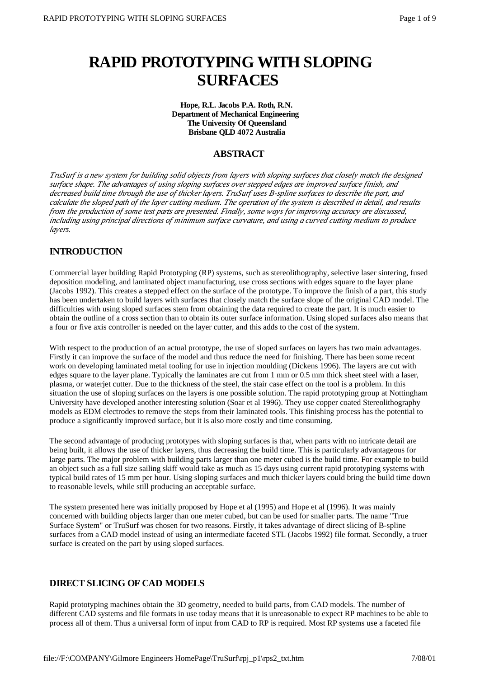# **RAPID PROTOTYPING WITH SLOPING SURFACES**

**Hope, R.L. Jacobs P.A. Roth, R.N. Department of Mechanical Engineering The University Of Queensland Brisbane QLD 4072 Australia**

# **ABSTRACT**

*TruSurf is a new system for building solid objects from layers with sloping surfaces that closely match the designed surface shape. The advantages of using sloping surfaces over stepped edges are improved surface finish, and decreased build time through the use of thicker layers. TruSurf uses B-spline surfaces to describe the part, and calculate the sloped path of the layer cutting medium. The operation of the system is described in detail, and results from the production of some test parts are presented. Finally, some ways for improving accuracy are discussed, including using principal directions of minimum surface curvature, and using a curved cutting medium to produce layers.*

# **INTRODUCTION**

Commercial layer building Rapid Prototyping (RP) systems, such as stereolithography, selective laser sintering, fused deposition modeling, and laminated object manufacturing, use cross sections with edges square to the layer plane (Jacobs 1992). This creates a stepped effect on the surface of the prototype. To improve the finish of a part, this study has been undertaken to build layers with surfaces that closely match the surface slope of the original CAD model. The difficulties with using sloped surfaces stem from obtaining the data required to create the part. It is much easier to obtain the outline of a cross section than to obtain its outer surface information. Using sloped surfaces also means that a four or five axis controller is needed on the layer cutter, and this adds to the cost of the system.

With respect to the production of an actual prototype, the use of sloped surfaces on layers has two main advantages. Firstly it can improve the surface of the model and thus reduce the need for finishing. There has been some recent work on developing laminated metal tooling for use in injection moulding (Dickens 1996). The layers are cut with edges square to the layer plane. Typically the laminates are cut from 1 mm or 0.5 mm thick sheet steel with a laser, plasma, or waterjet cutter. Due to the thickness of the steel, the stair case effect on the tool is a problem. In this situation the use of sloping surfaces on the layers is one possible solution. The rapid prototyping group at Nottingham University have developed another interesting solution (Soar et al 1996). They use copper coated Stereolithography models as EDM electrodes to remove the steps from their laminated tools. This finishing process has the potential to produce a significantly improved surface, but it is also more costly and time consuming.

The second advantage of producing prototypes with sloping surfaces is that, when parts with no intricate detail are being built, it allows the use of thicker layers, thus decreasing the build time. This is particularly advantageous for large parts. The major problem with building parts larger than one meter cubed is the build time. For example to build an object such as a full size sailing skiff would take as much as 15 days using current rapid prototyping systems with typical build rates of 15 mm per hour. Using sloping surfaces and much thicker layers could bring the build time down to reasonable levels, while still producing an acceptable surface.

The system presented here was initially proposed by Hope et al (1995) and Hope et al (1996). It was mainly concerned with building objects larger than one meter cubed, but can be used for smaller parts. The name "True Surface System" or TruSurf was chosen for two reasons. Firstly, it takes advantage of direct slicing of B-spline surfaces from a CAD model instead of using an intermediate faceted STL (Jacobs 1992) file format. Secondly, a truer surface is created on the part by using sloped surfaces.

# **DIRECT SLICING OF CAD MODELS**

Rapid prototyping machines obtain the 3D geometry, needed to build parts, from CAD models. The number of different CAD systems and file formats in use today means that it is unreasonable to expect RP machines to be able to process all of them. Thus a universal form of input from CAD to RP is required. Most RP systems use a faceted file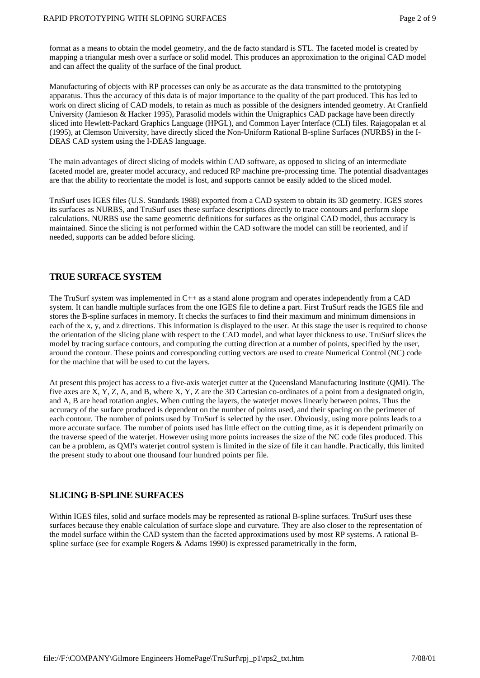format as a means to obtain the model geometry, and the de facto standard is STL. The faceted model is created by mapping a triangular mesh over a surface or solid model. This produces an approximation to the original CAD model and can affect the quality of the surface of the final product.

Manufacturing of objects with RP processes can only be as accurate as the data transmitted to the prototyping apparatus. Thus the accuracy of this data is of major importance to the quality of the part produced. This has led to work on direct slicing of CAD models, to retain as much as possible of the designers intended geometry. At Cranfield University (Jamieson & Hacker 1995), Parasolid models within the Unigraphics CAD package have been directly sliced into Hewlett-Packard Graphics Language (HPGL), and Common Layer Interface (CLI) files. Rajagopalan et al (1995), at Clemson University, have directly sliced the Non-Uniform Rational B-spline Surfaces (NURBS) in the I-DEAS CAD system using the I-DEAS language.

The main advantages of direct slicing of models within CAD software, as opposed to slicing of an intermediate faceted model are, greater model accuracy, and reduced RP machine pre-processing time. The potential disadvantages are that the ability to reorientate the model is lost, and supports cannot be easily added to the sliced model.

TruSurf uses IGES files (U.S. Standards 1988) exported from a CAD system to obtain its 3D geometry. IGES stores its surfaces as NURBS, and TruSurf uses these surface descriptions directly to trace contours and perform slope calculations. NURBS use the same geometric definitions for surfaces as the original CAD model, thus accuracy is maintained. Since the slicing is not performed within the CAD software the model can still be reoriented, and if needed, supports can be added before slicing.

#### **TRUE SURFACE SYSTEM**

The TruSurf system was implemented in C++ as a stand alone program and operates independently from a CAD system. It can handle multiple surfaces from the one IGES file to define a part. First TruSurf reads the IGES file and stores the B-spline surfaces in memory. It checks the surfaces to find their maximum and minimum dimensions in each of the x, y, and z directions. This information is displayed to the user. At this stage the user is required to choose the orientation of the slicing plane with respect to the CAD model, and what layer thickness to use. TruSurf slices the model by tracing surface contours, and computing the cutting direction at a number of points, specified by the user, around the contour. These points and corresponding cutting vectors are used to create Numerical Control (NC) code for the machine that will be used to cut the layers.

At present this project has access to a five-axis waterjet cutter at the Queensland Manufacturing Institute (QMI). The five axes are X, Y, Z, A, and B, where X, Y, Z are the 3D Cartesian co-ordinates of a point from a designated origin, and A, B are head rotation angles. When cutting the layers, the waterjet moves linearly between points. Thus the accuracy of the surface produced is dependent on the number of points used, and their spacing on the perimeter of each contour. The number of points used by TruSurf is selected by the user. Obviously, using more points leads to a more accurate surface. The number of points used has little effect on the cutting time, as it is dependent primarily on the traverse speed of the waterjet. However using more points increases the size of the NC code files produced. This can be a problem, as QMI's waterjet control system is limited in the size of file it can handle. Practically, this limited the present study to about one thousand four hundred points per file.

#### **SLICING B-SPLINE SURFACES**

Within IGES files, solid and surface models may be represented as rational B-spline surfaces. TruSurf uses these surfaces because they enable calculation of surface slope and curvature. They are also closer to the representation of the model surface within the CAD system than the faceted approximations used by most RP systems. A rational Bspline surface (see for example Rogers & Adams 1990) is expressed parametrically in the form,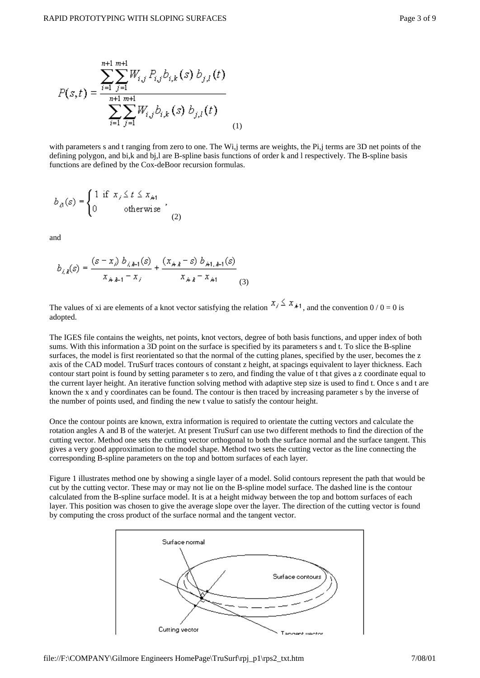$$
P(s,t) = \frac{\sum_{i=1}^{n+1} \sum_{j=1}^{m+1} W_{i,j} P_{i,j} b_{i,k}(s) b_{j,l}(t)}{\sum_{i=1}^{n+1} \sum_{j=1}^{m+1} W_{i,j} b_{i,k}(s) b_{j,l}(t)}
$$
(1)

with parameters s and t ranging from zero to one. The Wi,j terms are weights, the Pi,j terms are 3D net points of the defining polygon, and bi,k and bj,l are B-spline basis functions of order k and l respectively. The B-spline basis functions are defined by the Cox-deBoor recursion formulas.

$$
b_{\lambda}(s) = \begin{cases} 1 & \text{if } x_j \leq t \leq x_{\text{At}} \\ 0 & \text{otherwise} \end{cases},
$$

and

$$
b_{j,k}(s) = \frac{(s-x_j) b_{j,k+1}(s)}{x_{k,k+1} - x_j} + \frac{(x_{k,k} - s) b_{k+1,k+1}(s)}{x_{k,k} - x_{k+1}} \tag{3}
$$

The values of xi are elements of a knot vector satisfying the relation  $x_i \leq x_{i+1}$ , and the convention  $0/0 = 0$  is adopted.

The IGES file contains the weights, net points, knot vectors, degree of both basis functions, and upper index of both sums. With this information a 3D point on the surface is specified by its parameters s and t. To slice the B-spline surfaces, the model is first reorientated so that the normal of the cutting planes, specified by the user, becomes the z axis of the CAD model. TruSurf traces contours of constant z height, at spacings equivalent to layer thickness. Each contour start point is found by setting parameter s to zero, and finding the value of t that gives a z coordinate equal to the current layer height. An iterative function solving method with adaptive step size is used to find t. Once s and t are known the x and y coordinates can be found. The contour is then traced by increasing parameter s by the inverse of the number of points used, and finding the new t value to satisfy the contour height.

Once the contour points are known, extra information is required to orientate the cutting vectors and calculate the rotation angles A and B of the waterjet. At present TruSurf can use two different methods to find the direction of the cutting vector. Method one sets the cutting vector orthogonal to both the surface normal and the surface tangent. This gives a very good approximation to the model shape. Method two sets the cutting vector as the line connecting the corresponding B-spline parameters on the top and bottom surfaces of each layer.

Figure 1 illustrates method one by showing a single layer of a model. Solid contours represent the path that would be cut by the cutting vector. These may or may not lie on the B-spline model surface. The dashed line is the contour calculated from the B-spline surface model. It is at a height midway between the top and bottom surfaces of each layer. This position was chosen to give the average slope over the layer. The direction of the cutting vector is found by computing the cross product of the surface normal and the tangent vector.

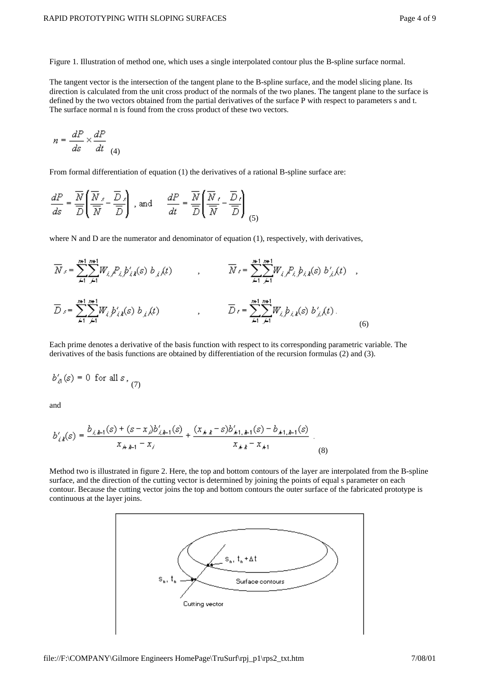Figure 1. Illustration of method one, which uses a single interpolated contour plus the B-spline surface normal.

The tangent vector is the intersection of the tangent plane to the B-spline surface, and the model slicing plane. Its direction is calculated from the unit cross product of the normals of the two planes. The tangent plane to the surface is defined by the two vectors obtained from the partial derivatives of the surface P with respect to parameters s and t. The surface normal n is found from the cross product of these two vectors.

$$
n = \frac{dP}{ds} \times \frac{dP}{dt}
$$
 (4)

From formal differentiation of equation (1) the derivatives of a rational B-spline surface are:

$$
\frac{dP}{ds} = \frac{\overline{N}}{\overline{D}} \left( \frac{\overline{N}}{\overline{N}} - \frac{\overline{D}}{\overline{D}} \right), \text{ and } \frac{dP}{dt} = \frac{\overline{N}}{\overline{D}} \left( \frac{\overline{N}}{\overline{N}} - \frac{\overline{D}}{\overline{D}} \right)_{(5)}
$$

where N and D are the numerator and denominator of equation (1), respectively, with derivatives,

$$
\overline{N}_{s} = \sum_{i=1}^{m+1} \sum_{j=1}^{m+1} W_{i,j} P_{i,j} b'_{i,k}(s) b_{j,i}(t) , \qquad \overline{N}_{t} = \sum_{i=1}^{m+1} \sum_{j=1}^{m+1} W_{i,j} P_{i,j} b_{j,k}(s) b'_{j,i}(t) ,
$$
  

$$
\overline{D}_{s} = \sum_{i=1}^{m+1} \sum_{j=1}^{m+1} W_{i,j} b'_{i,k}(s) b_{j,i}(t) , \qquad \overline{D}_{t} = \sum_{i=1}^{m+1} \sum_{j=1}^{m+1} W_{i,j} b_{j,k}(s) b'_{j,i}(t) .
$$
 (6)

Each prime denotes a derivative of the basis function with respect to its corresponding parametric variable. The derivatives of the basis functions are obtained by differentiation of the recursion formulas (2) and (3).

$$
b'_{\mathcal{A}}(s) = 0 \text{ for all } s, \tag{7}
$$

and

$$
b'_{\lambda k}(s) = \frac{b_{\lambda k+1}(s) + (s - x_{\lambda})b'_{\lambda k+1}(s)}{x_{\lambda k+1} - x_{\lambda}} + \frac{(x_{\lambda k} - s)b'_{\lambda 1, k+1}(s) - b_{\lambda 1, k+1}(s)}{x_{\lambda k} - x_{\lambda 1}}.
$$
(8)

Method two is illustrated in figure 2. Here, the top and bottom contours of the layer are interpolated from the B-spline surface, and the direction of the cutting vector is determined by joining the points of equal s parameter on each contour. Because the cutting vector joins the top and bottom contours the outer surface of the fabricated prototype is continuous at the layer joins.

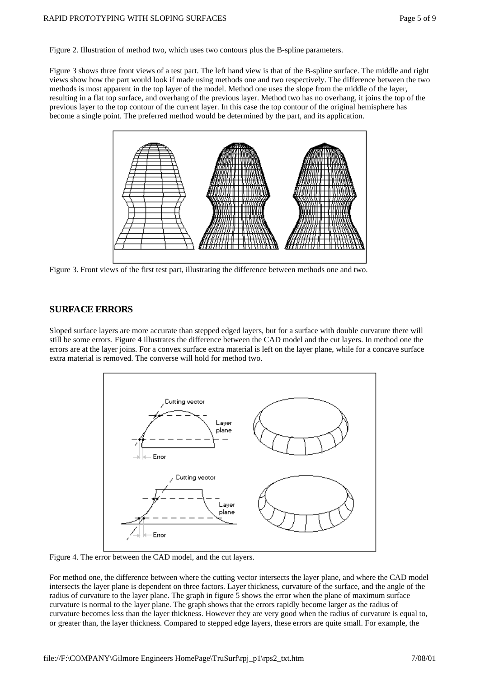Figure 2. Illustration of method two, which uses two contours plus the B-spline parameters.

Figure 3 shows three front views of a test part. The left hand view is that of the B-spline surface. The middle and right views show how the part would look if made using methods one and two respectively. The difference between the two methods is most apparent in the top layer of the model. Method one uses the slope from the middle of the layer, resulting in a flat top surface, and overhang of the previous layer. Method two has no overhang, it joins the top of the previous layer to the top contour of the current layer. In this case the top contour of the original hemisphere has become a single point. The preferred method would be determined by the part, and its application.



Figure 3. Front views of the first test part, illustrating the difference between methods one and two.

#### **SURFACE ERRORS**

Sloped surface layers are more accurate than stepped edged layers, but for a surface with double curvature there will still be some errors. Figure 4 illustrates the difference between the CAD model and the cut layers. In method one the errors are at the layer joins. For a convex surface extra material is left on the layer plane, while for a concave surface extra material is removed. The converse will hold for method two.



Figure 4. The error between the CAD model, and the cut layers.

For method one, the difference between where the cutting vector intersects the layer plane, and where the CAD model intersects the layer plane is dependent on three factors. Layer thickness, curvature of the surface, and the angle of the radius of curvature to the layer plane. The graph in figure 5 shows the error when the plane of maximum surface curvature is normal to the layer plane. The graph shows that the errors rapidly become larger as the radius of curvature becomes less than the layer thickness. However they are very good when the radius of curvature is equal to, or greater than, the layer thickness. Compared to stepped edge layers, these errors are quite small. For example, the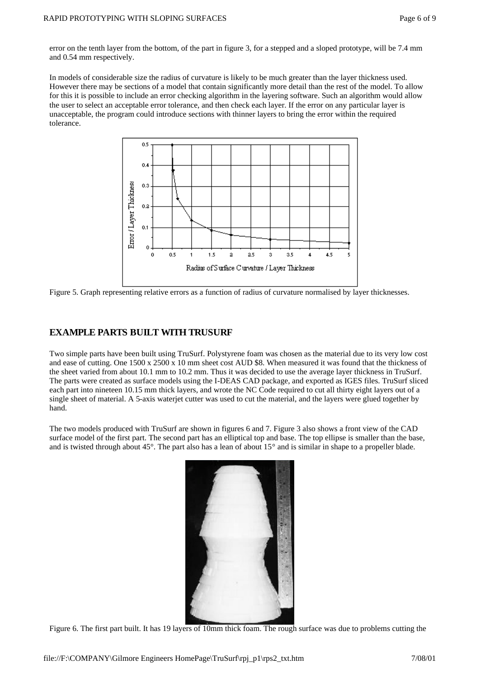error on the tenth layer from the bottom, of the part in figure 3, for a stepped and a sloped prototype, will be 7.4 mm and 0.54 mm respectively.

In models of considerable size the radius of curvature is likely to be much greater than the layer thickness used. However there may be sections of a model that contain significantly more detail than the rest of the model. To allow for this it is possible to include an error checking algorithm in the layering software. Such an algorithm would allow the user to select an acceptable error tolerance, and then check each layer. If the error on any particular layer is unacceptable, the program could introduce sections with thinner layers to bring the error within the required tolerance.



Figure 5. Graph representing relative errors as a function of radius of curvature normalised by layer thicknesses.

## **EXAMPLE PARTS BUILT WITH TRUSURF**

Two simple parts have been built using TruSurf. Polystyrene foam was chosen as the material due to its very low cost and ease of cutting. One 1500 x 2500 x 10 mm sheet cost AUD \$8. When measured it was found that the thickness of the sheet varied from about 10.1 mm to 10.2 mm. Thus it was decided to use the average layer thickness in TruSurf. The parts were created as surface models using the I-DEAS CAD package, and exported as IGES files. TruSurf sliced each part into nineteen 10.15 mm thick layers, and wrote the NC Code required to cut all thirty eight layers out of a single sheet of material. A 5-axis waterjet cutter was used to cut the material, and the layers were glued together by hand.

The two models produced with TruSurf are shown in figures 6 and 7. Figure 3 also shows a front view of the CAD surface model of the first part. The second part has an elliptical top and base. The top ellipse is smaller than the base, and is twisted through about 45°. The part also has a lean of about 15° and is similar in shape to a propeller blade.



Figure 6. The first part built. It has 19 layers of 10mm thick foam. The rough surface was due to problems cutting the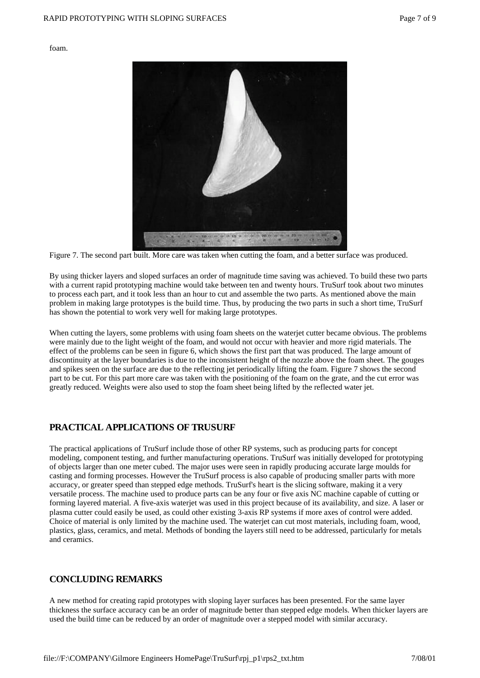foam.



Figure 7. The second part built. More care was taken when cutting the foam, and a better surface was produced.

By using thicker layers and sloped surfaces an order of magnitude time saving was achieved. To build these two parts with a current rapid prototyping machine would take between ten and twenty hours. TruSurf took about two minutes to process each part, and it took less than an hour to cut and assemble the two parts. As mentioned above the main problem in making large prototypes is the build time. Thus, by producing the two parts in such a short time, TruSurf has shown the potential to work very well for making large prototypes.

When cutting the layers, some problems with using foam sheets on the waterjet cutter became obvious. The problems were mainly due to the light weight of the foam, and would not occur with heavier and more rigid materials. The effect of the problems can be seen in figure 6, which shows the first part that was produced. The large amount of discontinuity at the layer boundaries is due to the inconsistent height of the nozzle above the foam sheet. The gouges and spikes seen on the surface are due to the reflecting jet periodically lifting the foam. Figure 7 shows the second part to be cut. For this part more care was taken with the positioning of the foam on the grate, and the cut error was greatly reduced. Weights were also used to stop the foam sheet being lifted by the reflected water jet.

## **PRACTICAL APPLICATIONS OF TRUSURF**

The practical applications of TruSurf include those of other RP systems, such as producing parts for concept modeling, component testing, and further manufacturing operations. TruSurf was initially developed for prototyping of objects larger than one meter cubed. The major uses were seen in rapidly producing accurate large moulds for casting and forming processes. However the TruSurf process is also capable of producing smaller parts with more accuracy, or greater speed than stepped edge methods. TruSurf's heart is the slicing software, making it a very versatile process. The machine used to produce parts can be any four or five axis NC machine capable of cutting or forming layered material. A five-axis waterjet was used in this project because of its availability, and size. A laser or plasma cutter could easily be used, as could other existing 3-axis RP systems if more axes of control were added. Choice of material is only limited by the machine used. The waterjet can cut most materials, including foam, wood, plastics, glass, ceramics, and metal. Methods of bonding the layers still need to be addressed, particularly for metals and ceramics.

#### **CONCLUDING REMARKS**

A new method for creating rapid prototypes with sloping layer surfaces has been presented. For the same layer thickness the surface accuracy can be an order of magnitude better than stepped edge models. When thicker layers are used the build time can be reduced by an order of magnitude over a stepped model with similar accuracy.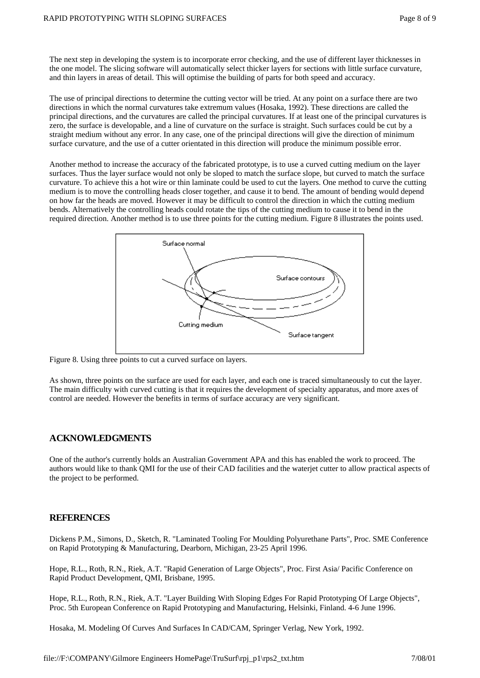The next step in developing the system is to incorporate error checking, and the use of different layer thicknesses in the one model. The slicing software will automatically select thicker layers for sections with little surface curvature, and thin layers in areas of detail. This will optimise the building of parts for both speed and accuracy.

The use of principal directions to determine the cutting vector will be tried. At any point on a surface there are two directions in which the normal curvatures take extremum values (Hosaka, 1992). These directions are called the principal directions, and the curvatures are called the principal curvatures. If at least one of the principal curvatures is zero, the surface is developable, and a line of curvature on the surface is straight. Such surfaces could be cut by a straight medium without any error. In any case, one of the principal directions will give the direction of minimum surface curvature, and the use of a cutter orientated in this direction will produce the minimum possible error.

Another method to increase the accuracy of the fabricated prototype, is to use a curved cutting medium on the layer surfaces. Thus the layer surface would not only be sloped to match the surface slope, but curved to match the surface curvature. To achieve this a hot wire or thin laminate could be used to cut the layers. One method to curve the cutting medium is to move the controlling heads closer together, and cause it to bend. The amount of bending would depend on how far the heads are moved. However it may be difficult to control the direction in which the cutting medium bends. Alternatively the controlling heads could rotate the tips of the cutting medium to cause it to bend in the required direction. Another method is to use three points for the cutting medium. Figure 8 illustrates the points used.



Figure 8. Using three points to cut a curved surface on layers.

As shown, three points on the surface are used for each layer, and each one is traced simultaneously to cut the layer. The main difficulty with curved cutting is that it requires the development of specialty apparatus, and more axes of control are needed. However the benefits in terms of surface accuracy are very significant.

## **ACKNOWLEDGMENTS**

One of the author's currently holds an Australian Government APA and this has enabled the work to proceed. The authors would like to thank QMI for the use of their CAD facilities and the waterjet cutter to allow practical aspects of the project to be performed.

#### **REFERENCES**

Dickens P.M., Simons, D., Sketch, R. "Laminated Tooling For Moulding Polyurethane Parts", Proc. SME Conference on Rapid Prototyping & Manufacturing, Dearborn, Michigan, 23-25 April 1996.

Hope, R.L., Roth, R.N., Riek, A.T. "Rapid Generation of Large Objects", Proc. First Asia/ Pacific Conference on Rapid Product Development, QMI, Brisbane, 1995.

Hope, R.L., Roth, R.N., Riek, A.T. "Layer Building With Sloping Edges For Rapid Prototyping Of Large Objects", Proc. 5th European Conference on Rapid Prototyping and Manufacturing, Helsinki, Finland. 4-6 June 1996.

Hosaka, M. Modeling Of Curves And Surfaces In CAD/CAM, Springer Verlag, New York, 1992.